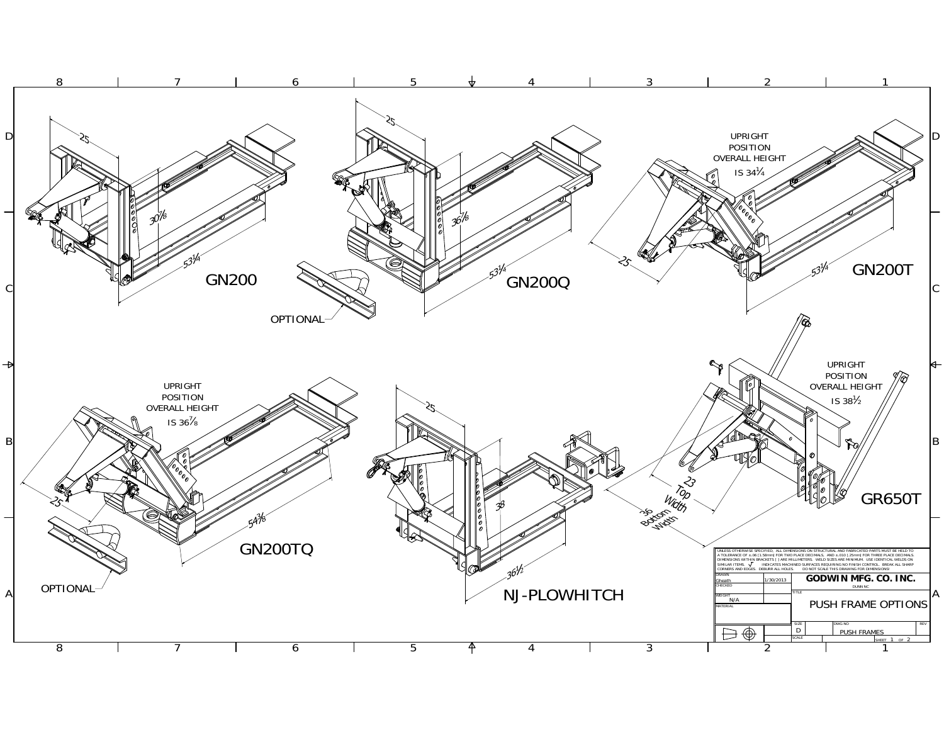